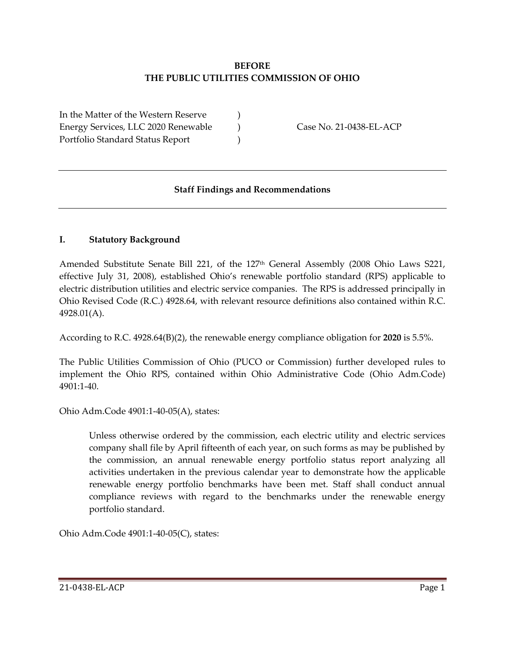### **BEFORE THE PUBLIC UTILITIES COMMISSION OF OHIO**

In the Matter of the Western Reserve ) Energy Services, LLC 2020 Renewable (and Case No. 21-0438-EL-ACP) Portfolio Standard Status Report (1997)

## **Staff Findings and Recommendations**

## **I. Statutory Background**

Amended Substitute Senate Bill 221, of the 127<sup>th</sup> General Assembly (2008 Ohio Laws S221, effective July 31, 2008), established Ohio's renewable portfolio standard (RPS) applicable to electric distribution utilities and electric service companies. The RPS is addressed principally in Ohio Revised Code (R.C.) 4928.64, with relevant resource definitions also contained within R.C. 4928.01(A).

According to R.C. 4928.64(B)(2), the renewable energy compliance obligation for **2020** is 5.5%.

The Public Utilities Commission of Ohio (PUCO or Commission) further developed rules to implement the Ohio RPS, contained within Ohio Administrative Code (Ohio Adm.Code) 4901:1-40.

#### Ohio Adm.Code 4901:1-40-05(A), states:

Unless otherwise ordered by the commission, each electric utility and electric services company shall file by April fifteenth of each year, on such forms as may be published by the commission, an annual renewable energy portfolio status report analyzing all activities undertaken in the previous calendar year to demonstrate how the applicable renewable energy portfolio benchmarks have been met. Staff shall conduct annual compliance reviews with regard to the benchmarks under the renewable energy portfolio standard.

Ohio Adm.Code 4901:1-40-05(C), states: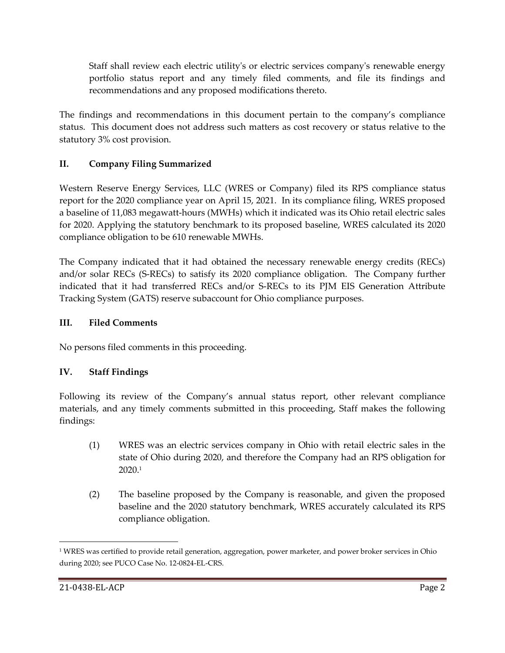Staff shall review each electric utility's or electric services company's renewable energy portfolio status report and any timely filed comments, and file its findings and recommendations and any proposed modifications thereto.

The findings and recommendations in this document pertain to the company's compliance status. This document does not address such matters as cost recovery or status relative to the statutory 3% cost provision.

# **II. Company Filing Summarized**

Western Reserve Energy Services, LLC (WRES or Company) filed its RPS compliance status report for the 2020 compliance year on April 15, 2021. In its compliance filing, WRES proposed a baseline of 11,083 megawatt-hours (MWHs) which it indicated was its Ohio retail electric sales for 2020. Applying the statutory benchmark to its proposed baseline, WRES calculated its 2020 compliance obligation to be 610 renewable MWHs.

The Company indicated that it had obtained the necessary renewable energy credits (RECs) and/or solar RECs (S-RECs) to satisfy its 2020 compliance obligation. The Company further indicated that it had transferred RECs and/or S-RECs to its PJM EIS Generation Attribute Tracking System (GATS) reserve subaccount for Ohio compliance purposes.

# **III. Filed Comments**

No persons filed comments in this proceeding.

# **IV. Staff Findings**

Following its review of the Company's annual status report, other relevant compliance materials, and any timely comments submitted in this proceeding, Staff makes the following findings:

- (1) WRES was an electric services company in Ohio with retail electric sales in the state of Ohio during 2020, and therefore the Company had an RPS obligation for 2020. 1
- (2) The baseline proposed by the Company is reasonable, and given the proposed baseline and the 2020 statutory benchmark, WRES accurately calculated its RPS compliance obligation.

<sup>&</sup>lt;sup>1</sup> WRES was certified to provide retail generation, aggregation, power marketer, and power broker services in Ohio during 2020; see PUCO Case No. 12-0824-EL-CRS.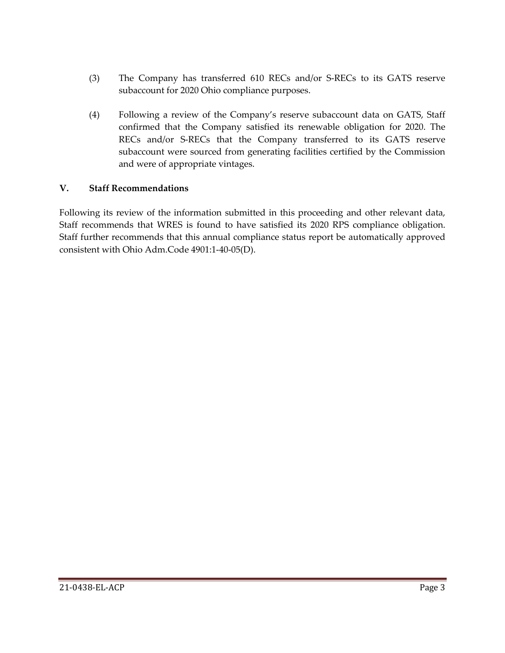- (3) The Company has transferred 610 RECs and/or S-RECs to its GATS reserve subaccount for 2020 Ohio compliance purposes.
- (4) Following a review of the Company's reserve subaccount data on GATS, Staff confirmed that the Company satisfied its renewable obligation for 2020. The RECs and/or S-RECs that the Company transferred to its GATS reserve subaccount were sourced from generating facilities certified by the Commission and were of appropriate vintages.

## **V. Staff Recommendations**

Following its review of the information submitted in this proceeding and other relevant data, Staff recommends that WRES is found to have satisfied its 2020 RPS compliance obligation. Staff further recommends that this annual compliance status report be automatically approved consistent with Ohio Adm.Code 4901:1-40-05(D).